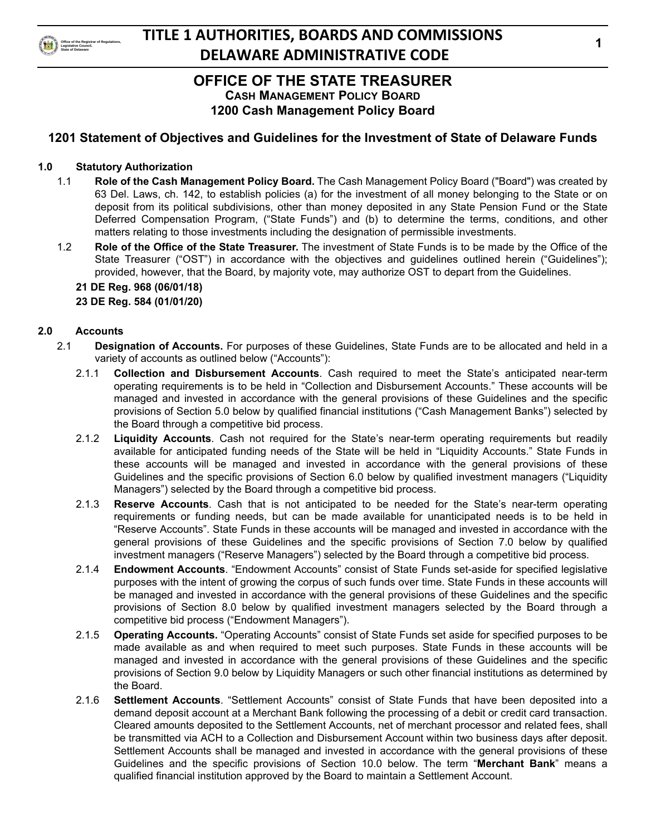

# **OFFICE OF THE STATE TREASURER**

**CASH MANAGEMENT POLICY BOARD 1200 Cash Management Policy Board**

# **1201 Statement of Objectives and Guidelines for the Investment of State of Delaware Funds**

### **1.0 Statutory Authorization**

- 1.1 **Role of the Cash Management Policy Board.** The Cash Management Policy Board ("Board") was created by 63 Del. Laws, ch. 142, to establish policies (a) for the investment of all money belonging to the State or on deposit from its political subdivisions, other than money deposited in any State Pension Fund or the State Deferred Compensation Program, ("State Funds") and (b) to determine the terms, conditions, and other matters relating to those investments including the designation of permissible investments.
- 1.2 **Role of the Office of the State Treasurer.** The investment of State Funds is to be made by the Office of the State Treasurer ("OST") in accordance with the objectives and guidelines outlined herein ("Guidelines"); provided, however, that the Board, by majority vote, may authorize OST to depart from the Guidelines.

#### **21 DE Reg. 968 (06/01/18) 23 DE Reg. 584 (01/01/20)**

### **2.0 Accounts**

- 2.1 **Designation of Accounts.** For purposes of these Guidelines, State Funds are to be allocated and held in a variety of accounts as outlined below ("Accounts"):
	- 2.1.1 **Collection and Disbursement Accounts**. Cash required to meet the State's anticipated near-term operating requirements is to be held in "Collection and Disbursement Accounts." These accounts will be managed and invested in accordance with the general provisions of these Guidelines and the specific provisions of Section 5.0 below by qualified financial institutions ("Cash Management Banks") selected by the Board through a competitive bid process.
	- 2.1.2 **Liquidity Accounts**. Cash not required for the State's near-term operating requirements but readily available for anticipated funding needs of the State will be held in "Liquidity Accounts." State Funds in these accounts will be managed and invested in accordance with the general provisions of these Guidelines and the specific provisions of Section 6.0 below by qualified investment managers ("Liquidity Managers") selected by the Board through a competitive bid process.
	- 2.1.3 **Reserve Accounts**. Cash that is not anticipated to be needed for the State's near-term operating requirements or funding needs, but can be made available for unanticipated needs is to be held in "Reserve Accounts". State Funds in these accounts will be managed and invested in accordance with the general provisions of these Guidelines and the specific provisions of Section 7.0 below by qualified investment managers ("Reserve Managers") selected by the Board through a competitive bid process.
	- 2.1.4 **Endowment Accounts**. "Endowment Accounts" consist of State Funds set-aside for specified legislative purposes with the intent of growing the corpus of such funds over time. State Funds in these accounts will be managed and invested in accordance with the general provisions of these Guidelines and the specific provisions of Section 8.0 below by qualified investment managers selected by the Board through a competitive bid process ("Endowment Managers").
	- 2.1.5 **Operating Accounts.** "Operating Accounts" consist of State Funds set aside for specified purposes to be made available as and when required to meet such purposes. State Funds in these accounts will be managed and invested in accordance with the general provisions of these Guidelines and the specific provisions of Section 9.0 below by Liquidity Managers or such other financial institutions as determined by the Board.
	- 2.1.6 **Settlement Accounts**. "Settlement Accounts" consist of State Funds that have been deposited into a demand deposit account at a Merchant Bank following the processing of a debit or credit card transaction. Cleared amounts deposited to the Settlement Accounts, net of merchant processor and related fees, shall be transmitted via ACH to a Collection and Disbursement Account within two business days after deposit. Settlement Accounts shall be managed and invested in accordance with the general provisions of these Guidelines and the specific provisions of Section 10.0 below. The term "**Merchant Bank**" means a qualified financial institution approved by the Board to maintain a Settlement Account.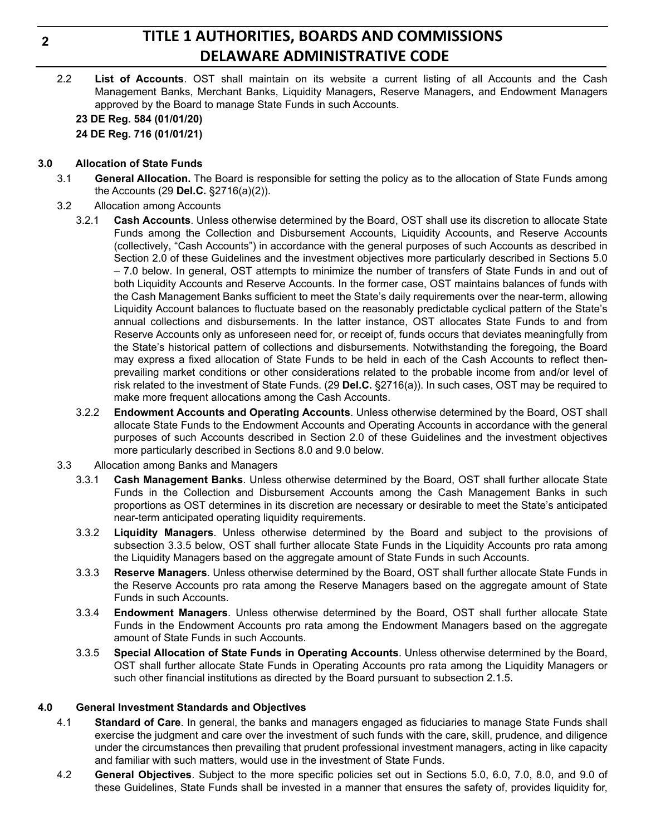2.2 **List of Accounts**. OST shall maintain on its website a current listing of all Accounts and the Cash Management Banks, Merchant Banks, Liquidity Managers, Reserve Managers, and Endowment Managers approved by the Board to manage State Funds in such Accounts.

**23 DE Reg. 584 (01/01/20) 24 DE Reg. 716 (01/01/21)**

#### **3.0 Allocation of State Funds**

- 3.1 **General Allocation.** The Board is responsible for setting the policy as to the allocation of State Funds among the Accounts (29 **Del.C.** §2716(a)(2)).
- 3.2 Allocation among Accounts
	- 3.2.1 **Cash Accounts**. Unless otherwise determined by the Board, OST shall use its discretion to allocate State Funds among the Collection and Disbursement Accounts, Liquidity Accounts, and Reserve Accounts (collectively, "Cash Accounts") in accordance with the general purposes of such Accounts as described in Section 2.0 of these Guidelines and the investment objectives more particularly described in Sections 5.0 – 7.0 below. In general, OST attempts to minimize the number of transfers of State Funds in and out of both Liquidity Accounts and Reserve Accounts. In the former case, OST maintains balances of funds with the Cash Management Banks sufficient to meet the State's daily requirements over the near-term, allowing Liquidity Account balances to fluctuate based on the reasonably predictable cyclical pattern of the State's annual collections and disbursements. In the latter instance, OST allocates State Funds to and from Reserve Accounts only as unforeseen need for, or receipt of, funds occurs that deviates meaningfully from the State's historical pattern of collections and disbursements. Notwithstanding the foregoing, the Board may express a fixed allocation of State Funds to be held in each of the Cash Accounts to reflect thenprevailing market conditions or other considerations related to the probable income from and/or level of risk related to the investment of State Funds. (29 **Del.C.** §2716(a)). In such cases, OST may be required to make more frequent allocations among the Cash Accounts.
	- 3.2.2 **Endowment Accounts and Operating Accounts**. Unless otherwise determined by the Board, OST shall allocate State Funds to the Endowment Accounts and Operating Accounts in accordance with the general purposes of such Accounts described in Section 2.0 of these Guidelines and the investment objectives more particularly described in Sections 8.0 and 9.0 below.
- 3.3 Allocation among Banks and Managers
	- 3.3.1 **Cash Management Banks**. Unless otherwise determined by the Board, OST shall further allocate State Funds in the Collection and Disbursement Accounts among the Cash Management Banks in such proportions as OST determines in its discretion are necessary or desirable to meet the State's anticipated near-term anticipated operating liquidity requirements.
	- 3.3.2 **Liquidity Managers**. Unless otherwise determined by the Board and subject to the provisions of subsection 3.3.5 below, OST shall further allocate State Funds in the Liquidity Accounts pro rata among the Liquidity Managers based on the aggregate amount of State Funds in such Accounts.
	- 3.3.3 **Reserve Managers**. Unless otherwise determined by the Board, OST shall further allocate State Funds in the Reserve Accounts pro rata among the Reserve Managers based on the aggregate amount of State Funds in such Accounts.
	- 3.3.4 **Endowment Managers**. Unless otherwise determined by the Board, OST shall further allocate State Funds in the Endowment Accounts pro rata among the Endowment Managers based on the aggregate amount of State Funds in such Accounts.
	- 3.3.5 **Special Allocation of State Funds in Operating Accounts**. Unless otherwise determined by the Board, OST shall further allocate State Funds in Operating Accounts pro rata among the Liquidity Managers or such other financial institutions as directed by the Board pursuant to subsection 2.1.5.

#### **4.0 General Investment Standards and Objectives**

- 4.1 **Standard of Care**. In general, the banks and managers engaged as fiduciaries to manage State Funds shall exercise the judgment and care over the investment of such funds with the care, skill, prudence, and diligence under the circumstances then prevailing that prudent professional investment managers, acting in like capacity and familiar with such matters, would use in the investment of State Funds.
- 4.2 **General Objectives**. Subject to the more specific policies set out in Sections 5.0, 6.0, 7.0, 8.0, and 9.0 of these Guidelines, State Funds shall be invested in a manner that ensures the safety of, provides liquidity for,

**2**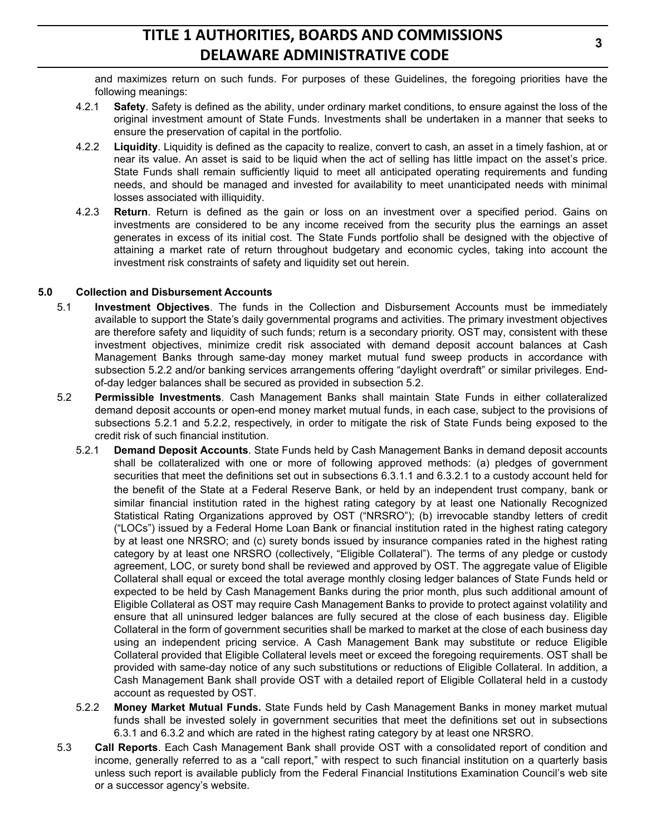and maximizes return on such funds. For purposes of these Guidelines, the foregoing priorities have the following meanings:

- 4.2.1 **Safety**. Safety is defined as the ability, under ordinary market conditions, to ensure against the loss of the original investment amount of State Funds. Investments shall be undertaken in a manner that seeks to ensure the preservation of capital in the portfolio.
- 4.2.2 **Liquidity**. Liquidity is defined as the capacity to realize, convert to cash, an asset in a timely fashion, at or near its value. An asset is said to be liquid when the act of selling has little impact on the asset's price. State Funds shall remain sufficiently liquid to meet all anticipated operating requirements and funding needs, and should be managed and invested for availability to meet unanticipated needs with minimal losses associated with illiquidity.
- 4.2.3 **Return**. Return is defined as the gain or loss on an investment over a specified period. Gains on investments are considered to be any income received from the security plus the earnings an asset generates in excess of its initial cost. The State Funds portfolio shall be designed with the objective of attaining a market rate of return throughout budgetary and economic cycles, taking into account the investment risk constraints of safety and liquidity set out herein.

#### **5.0 Collection and Disbursement Accounts**

- 5.1 **Investment Objectives**. The funds in the Collection and Disbursement Accounts must be immediately available to support the State's daily governmental programs and activities. The primary investment objectives are therefore safety and liquidity of such funds; return is a secondary priority. OST may, consistent with these investment objectives, minimize credit risk associated with demand deposit account balances at Cash Management Banks through same-day money market mutual fund sweep products in accordance with subsection 5.2.2 and/or banking services arrangements offering "daylight overdraft" or similar privileges. Endof-day ledger balances shall be secured as provided in subsection 5.2.
- 5.2 **Permissible Investments**. Cash Management Banks shall maintain State Funds in either collateralized demand deposit accounts or open-end money market mutual funds, in each case, subject to the provisions of subsections 5.2.1 and 5.2.2, respectively, in order to mitigate the risk of State Funds being exposed to the credit risk of such financial institution.
	- 5.2.1 **Demand Deposit Accounts**. State Funds held by Cash Management Banks in demand deposit accounts shall be collateralized with one or more of following approved methods: (a) pledges of government securities that meet the definitions set out in subsections 6.3.1.1 and 6.3.2.1 to a custody account held for the benefit of the State at a Federal Reserve Bank, or held by an independent trust company, bank or similar financial institution rated in the highest rating category by at least one Nationally Recognized Statistical Rating Organizations approved by OST ("NRSRO"); (b) irrevocable standby letters of credit ("LOCs") issued by a Federal Home Loan Bank or financial institution rated in the highest rating category by at least one NRSRO; and (c) surety bonds issued by insurance companies rated in the highest rating category by at least one NRSRO (collectively, "Eligible Collateral"). The terms of any pledge or custody agreement, LOC, or surety bond shall be reviewed and approved by OST. The aggregate value of Eligible Collateral shall equal or exceed the total average monthly closing ledger balances of State Funds held or expected to be held by Cash Management Banks during the prior month, plus such additional amount of Eligible Collateral as OST may require Cash Management Banks to provide to protect against volatility and ensure that all uninsured ledger balances are fully secured at the close of each business day. Eligible Collateral in the form of government securities shall be marked to market at the close of each business day using an independent pricing service. A Cash Management Bank may substitute or reduce Eligible Collateral provided that Eligible Collateral levels meet or exceed the foregoing requirements. OST shall be provided with same-day notice of any such substitutions or reductions of Eligible Collateral. In addition, a Cash Management Bank shall provide OST with a detailed report of Eligible Collateral held in a custody account as requested by OST.
	- 5.2.2 **Money Market Mutual Funds.** State Funds held by Cash Management Banks in money market mutual funds shall be invested solely in government securities that meet the definitions set out in subsections 6.3.1 and 6.3.2 and which are rated in the highest rating category by at least one NRSRO.
- 5.3 **Call Reports**. Each Cash Management Bank shall provide OST with a consolidated report of condition and income, generally referred to as a "call report," with respect to such financial institution on a quarterly basis unless such report is available publicly from the Federal Financial Institutions Examination Council's web site or a successor agency's website.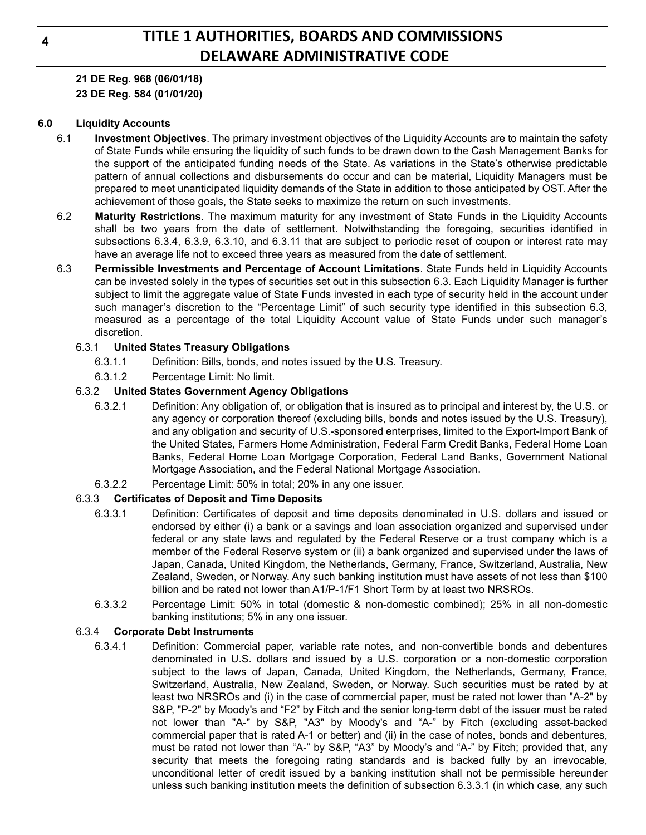**21 DE Reg. 968 (06/01/18) 23 DE Reg. 584 (01/01/20)**

#### **6.0 Liquidity Accounts**

- 6.1 **Investment Objectives**. The primary investment objectives of the Liquidity Accounts are to maintain the safety of State Funds while ensuring the liquidity of such funds to be drawn down to the Cash Management Banks for the support of the anticipated funding needs of the State. As variations in the State's otherwise predictable pattern of annual collections and disbursements do occur and can be material, Liquidity Managers must be prepared to meet unanticipated liquidity demands of the State in addition to those anticipated by OST. After the achievement of those goals, the State seeks to maximize the return on such investments.
- 6.2 **Maturity Restrictions**. The maximum maturity for any investment of State Funds in the Liquidity Accounts shall be two years from the date of settlement. Notwithstanding the foregoing, securities identified in subsections 6.3.4, 6.3.9, 6.3.10, and 6.3.11 that are subject to periodic reset of coupon or interest rate may have an average life not to exceed three years as measured from the date of settlement.
- 6.3 **Permissible Investments and Percentage of Account Limitations**. State Funds held in Liquidity Accounts can be invested solely in the types of securities set out in this subsection 6.3. Each Liquidity Manager is further subject to limit the aggregate value of State Funds invested in each type of security held in the account under such manager's discretion to the "Percentage Limit" of such security type identified in this subsection 6.3, measured as a percentage of the total Liquidity Account value of State Funds under such manager's discretion.

#### 6.3.1 **United States Treasury Obligations**

- 6.3.1.1 Definition: Bills, bonds, and notes issued by the U.S. Treasury.
- 6.3.1.2 Percentage Limit: No limit.

#### 6.3.2 **United States Government Agency Obligations**

- 6.3.2.1 Definition: Any obligation of, or obligation that is insured as to principal and interest by, the U.S. or any agency or corporation thereof (excluding bills, bonds and notes issued by the U.S. Treasury), and any obligation and security of U.S.-sponsored enterprises, limited to the Export-Import Bank of the United States, Farmers Home Administration, Federal Farm Credit Banks, Federal Home Loan Banks, Federal Home Loan Mortgage Corporation, Federal Land Banks, Government National Mortgage Association, and the Federal National Mortgage Association.
- 6.3.2.2 Percentage Limit: 50% in total; 20% in any one issuer.

#### 6.3.3 **Certificates of Deposit and Time Deposits**

- 6.3.3.1 Definition: Certificates of deposit and time deposits denominated in U.S. dollars and issued or endorsed by either (i) a bank or a savings and loan association organized and supervised under federal or any state laws and regulated by the Federal Reserve or a trust company which is a member of the Federal Reserve system or (ii) a bank organized and supervised under the laws of Japan, Canada, United Kingdom, the Netherlands, Germany, France, Switzerland, Australia, New Zealand, Sweden, or Norway. Any such banking institution must have assets of not less than \$100 billion and be rated not lower than A1/P-1/F1 Short Term by at least two NRSROs.
- 6.3.3.2 Percentage Limit: 50% in total (domestic & non-domestic combined); 25% in all non-domestic banking institutions; 5% in any one issuer.

#### 6.3.4 **Corporate Debt Instruments**

6.3.4.1 Definition: Commercial paper, variable rate notes, and non-convertible bonds and debentures denominated in U.S. dollars and issued by a U.S. corporation or a non-domestic corporation subject to the laws of Japan, Canada, United Kingdom, the Netherlands, Germany, France, Switzerland, Australia, New Zealand, Sweden, or Norway. Such securities must be rated by at least two NRSROs and (i) in the case of commercial paper, must be rated not lower than "A-2" by S&P, "P-2" by Moody's and "F2" by Fitch and the senior long-term debt of the issuer must be rated not lower than "A-" by S&P, "A3" by Moody's and "A-" by Fitch (excluding asset-backed commercial paper that is rated A-1 or better) and (ii) in the case of notes, bonds and debentures, must be rated not lower than "A-" by S&P, "A3" by Moody's and "A-" by Fitch; provided that, any security that meets the foregoing rating standards and is backed fully by an irrevocable, unconditional letter of credit issued by a banking institution shall not be permissible hereunder unless such banking institution meets the definition of subsection 6.3.3.1 (in which case, any such

**4**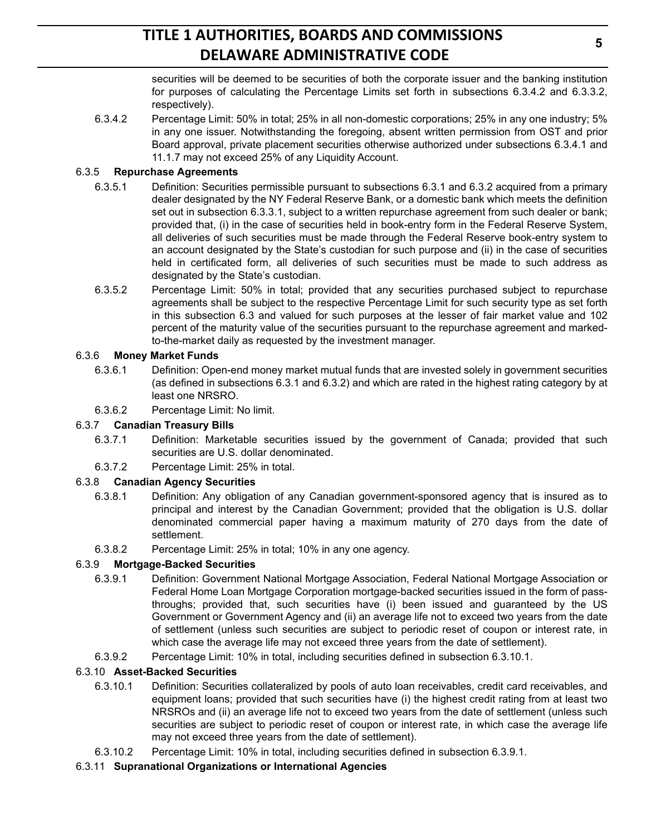securities will be deemed to be securities of both the corporate issuer and the banking institution for purposes of calculating the Percentage Limits set forth in subsections 6.3.4.2 and 6.3.3.2, respectively).

6.3.4.2 Percentage Limit: 50% in total; 25% in all non-domestic corporations; 25% in any one industry; 5% in any one issuer. Notwithstanding the foregoing, absent written permission from OST and prior Board approval, private placement securities otherwise authorized under subsections 6.3.4.1 and 11.1.7 may not exceed 25% of any Liquidity Account.

### 6.3.5 **Repurchase Agreements**

- 6.3.5.1 Definition: Securities permissible pursuant to subsections 6.3.1 and 6.3.2 acquired from a primary dealer designated by the NY Federal Reserve Bank, or a domestic bank which meets the definition set out in subsection 6.3.3.1, subject to a written repurchase agreement from such dealer or bank; provided that, (i) in the case of securities held in book-entry form in the Federal Reserve System, all deliveries of such securities must be made through the Federal Reserve book-entry system to an account designated by the State's custodian for such purpose and (ii) in the case of securities held in certificated form, all deliveries of such securities must be made to such address as designated by the State's custodian.
- 6.3.5.2 Percentage Limit: 50% in total; provided that any securities purchased subject to repurchase agreements shall be subject to the respective Percentage Limit for such security type as set forth in this subsection 6.3 and valued for such purposes at the lesser of fair market value and 102 percent of the maturity value of the securities pursuant to the repurchase agreement and markedto-the-market daily as requested by the investment manager.

### 6.3.6 **Money Market Funds**

- 6.3.6.1 Definition: Open-end money market mutual funds that are invested solely in government securities (as defined in subsections 6.3.1 and 6.3.2) and which are rated in the highest rating category by at least one NRSRO.
- 6.3.6.2 Percentage Limit: No limit.

## 6.3.7 **Canadian Treasury Bills**

- 6.3.7.1 Definition: Marketable securities issued by the government of Canada; provided that such securities are U.S. dollar denominated.
- 6.3.7.2 Percentage Limit: 25% in total.

## 6.3.8 **Canadian Agency Securities**

- 6.3.8.1 Definition: Any obligation of any Canadian government-sponsored agency that is insured as to principal and interest by the Canadian Government; provided that the obligation is U.S. dollar denominated commercial paper having a maximum maturity of 270 days from the date of settlement.
- 6.3.8.2 Percentage Limit: 25% in total; 10% in any one agency.

## 6.3.9 **Mortgage-Backed Securities**

- 6.3.9.1 Definition: Government National Mortgage Association, Federal National Mortgage Association or Federal Home Loan Mortgage Corporation mortgage-backed securities issued in the form of passthroughs; provided that, such securities have (i) been issued and guaranteed by the US Government or Government Agency and (ii) an average life not to exceed two years from the date of settlement (unless such securities are subject to periodic reset of coupon or interest rate, in which case the average life may not exceed three years from the date of settlement).
- 6.3.9.2 Percentage Limit: 10% in total, including securities defined in subsection 6.3.10.1.

## 6.3.10 **Asset-Backed Securities**

- 6.3.10.1 Definition: Securities collateralized by pools of auto loan receivables, credit card receivables, and equipment loans; provided that such securities have (i) the highest credit rating from at least two NRSROs and (ii) an average life not to exceed two years from the date of settlement (unless such securities are subject to periodic reset of coupon or interest rate, in which case the average life may not exceed three years from the date of settlement).
- 6.3.10.2 Percentage Limit: 10% in total, including securities defined in subsection 6.3.9.1.
- 6.3.11 **Supranational Organizations or International Agencies**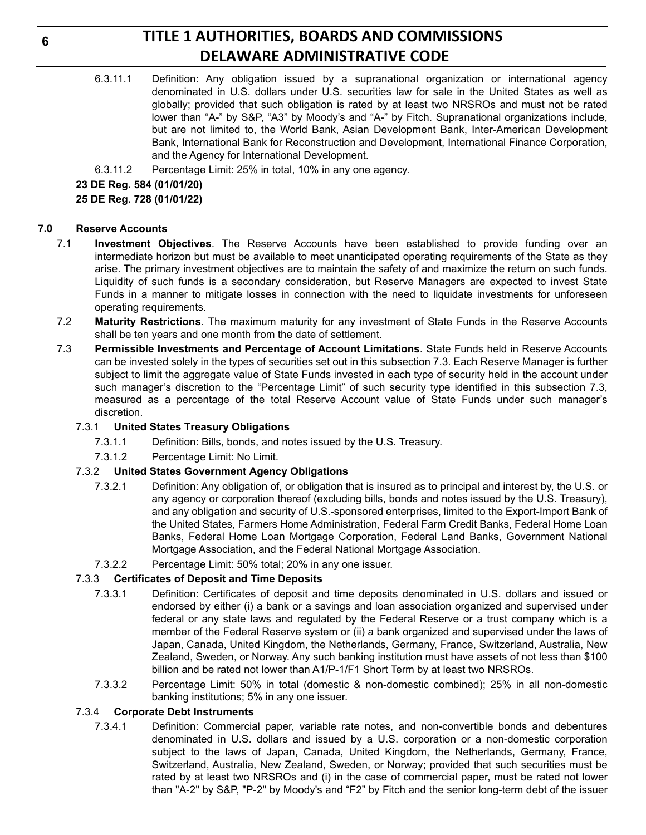- 6.3.11.1 Definition: Any obligation issued by a supranational organization or international agency denominated in U.S. dollars under U.S. securities law for sale in the United States as well as globally; provided that such obligation is rated by at least two NRSROs and must not be rated lower than "A-" by S&P, "A3" by Moody's and "A-" by Fitch. Supranational organizations include, but are not limited to, the World Bank, Asian Development Bank, Inter-American Development Bank, International Bank for Reconstruction and Development, International Finance Corporation, and the Agency for International Development.
- 6.3.11.2 Percentage Limit: 25% in total, 10% in any one agency.

#### **23 DE Reg. 584 (01/01/20)**

**25 DE Reg. 728 (01/01/22)**

#### **7.0 Reserve Accounts**

- 7.1 **Investment Objectives**. The Reserve Accounts have been established to provide funding over an intermediate horizon but must be available to meet unanticipated operating requirements of the State as they arise. The primary investment objectives are to maintain the safety of and maximize the return on such funds. Liquidity of such funds is a secondary consideration, but Reserve Managers are expected to invest State Funds in a manner to mitigate losses in connection with the need to liquidate investments for unforeseen operating requirements.
- 7.2 **Maturity Restrictions**. The maximum maturity for any investment of State Funds in the Reserve Accounts shall be ten years and one month from the date of settlement.
- 7.3 **Permissible Investments and Percentage of Account Limitations**. State Funds held in Reserve Accounts can be invested solely in the types of securities set out in this subsection 7.3. Each Reserve Manager is further subject to limit the aggregate value of State Funds invested in each type of security held in the account under such manager's discretion to the "Percentage Limit" of such security type identified in this subsection 7.3, measured as a percentage of the total Reserve Account value of State Funds under such manager's discretion.

#### 7.3.1 **United States Treasury Obligations**

- 7.3.1.1 Definition: Bills, bonds, and notes issued by the U.S. Treasury.
- 7.3.1.2 Percentage Limit: No Limit.

#### 7.3.2 **United States Government Agency Obligations**

- 7.3.2.1 Definition: Any obligation of, or obligation that is insured as to principal and interest by, the U.S. or any agency or corporation thereof (excluding bills, bonds and notes issued by the U.S. Treasury), and any obligation and security of U.S.-sponsored enterprises, limited to the Export-Import Bank of the United States, Farmers Home Administration, Federal Farm Credit Banks, Federal Home Loan Banks, Federal Home Loan Mortgage Corporation, Federal Land Banks, Government National Mortgage Association, and the Federal National Mortgage Association.
- 7.3.2.2 Percentage Limit: 50% total; 20% in any one issuer.

#### 7.3.3 **Certificates of Deposit and Time Deposits**

- 7.3.3.1 Definition: Certificates of deposit and time deposits denominated in U.S. dollars and issued or endorsed by either (i) a bank or a savings and loan association organized and supervised under federal or any state laws and regulated by the Federal Reserve or a trust company which is a member of the Federal Reserve system or (ii) a bank organized and supervised under the laws of Japan, Canada, United Kingdom, the Netherlands, Germany, France, Switzerland, Australia, New Zealand, Sweden, or Norway. Any such banking institution must have assets of not less than \$100 billion and be rated not lower than A1/P-1/F1 Short Term by at least two NRSROs.
- 7.3.3.2 Percentage Limit: 50% in total (domestic & non-domestic combined); 25% in all non-domestic banking institutions; 5% in any one issuer.

#### 7.3.4 **Corporate Debt Instruments**

7.3.4.1 Definition: Commercial paper, variable rate notes, and non-convertible bonds and debentures denominated in U.S. dollars and issued by a U.S. corporation or a non-domestic corporation subject to the laws of Japan, Canada, United Kingdom, the Netherlands, Germany, France, Switzerland, Australia, New Zealand, Sweden, or Norway; provided that such securities must be rated by at least two NRSROs and (i) in the case of commercial paper, must be rated not lower than "A-2" by S&P, "P-2" by Moody's and "F2" by Fitch and the senior long-term debt of the issuer

**6**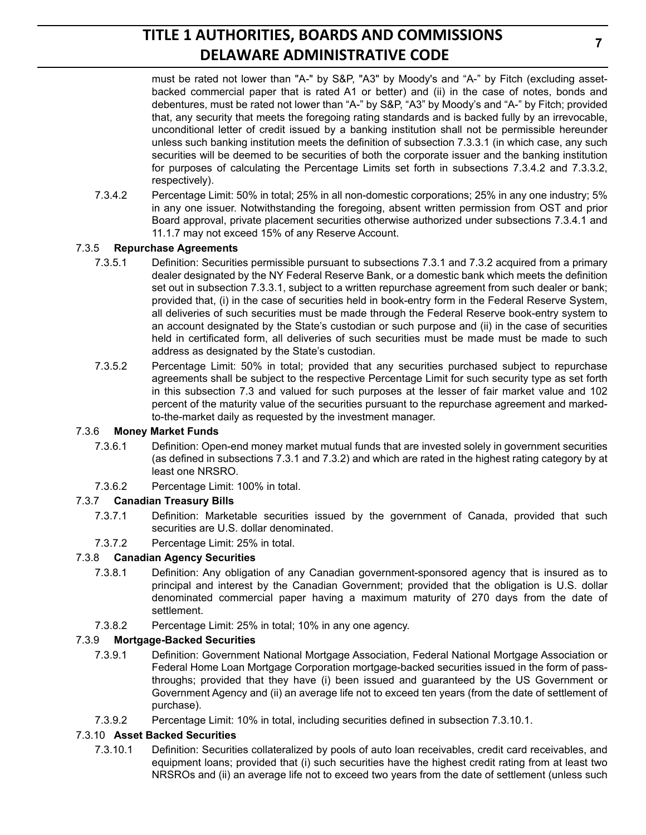must be rated not lower than "A-" by S&P, "A3" by Moody's and "A-" by Fitch (excluding assetbacked commercial paper that is rated A1 or better) and (ii) in the case of notes, bonds and debentures, must be rated not lower than "A-" by S&P, "A3" by Moody's and "A-" by Fitch; provided that, any security that meets the foregoing rating standards and is backed fully by an irrevocable, unconditional letter of credit issued by a banking institution shall not be permissible hereunder unless such banking institution meets the definition of subsection 7.3.3.1 (in which case, any such securities will be deemed to be securities of both the corporate issuer and the banking institution for purposes of calculating the Percentage Limits set forth in subsections 7.3.4.2 and 7.3.3.2, respectively).

7.3.4.2 Percentage Limit: 50% in total; 25% in all non-domestic corporations; 25% in any one industry; 5% in any one issuer. Notwithstanding the foregoing, absent written permission from OST and prior Board approval, private placement securities otherwise authorized under subsections 7.3.4.1 and 11.1.7 may not exceed 15% of any Reserve Account.

## 7.3.5 **Repurchase Agreements**

- 7.3.5.1 Definition: Securities permissible pursuant to subsections 7.3.1 and 7.3.2 acquired from a primary dealer designated by the NY Federal Reserve Bank, or a domestic bank which meets the definition set out in subsection 7.3.3.1, subject to a written repurchase agreement from such dealer or bank; provided that, (i) in the case of securities held in book-entry form in the Federal Reserve System, all deliveries of such securities must be made through the Federal Reserve book-entry system to an account designated by the State's custodian or such purpose and (ii) in the case of securities held in certificated form, all deliveries of such securities must be made must be made to such address as designated by the State's custodian.
- 7.3.5.2 Percentage Limit: 50% in total; provided that any securities purchased subject to repurchase agreements shall be subject to the respective Percentage Limit for such security type as set forth in this subsection 7.3 and valued for such purposes at the lesser of fair market value and 102 percent of the maturity value of the securities pursuant to the repurchase agreement and markedto-the-market daily as requested by the investment manager.

## 7.3.6 **Money Market Funds**

- 7.3.6.1 Definition: Open-end money market mutual funds that are invested solely in government securities (as defined in subsections 7.3.1 and 7.3.2) and which are rated in the highest rating category by at least one NRSRO.
- 7.3.6.2 Percentage Limit: 100% in total.

# 7.3.7 **Canadian Treasury Bills**

- 7.3.7.1 Definition: Marketable securities issued by the government of Canada, provided that such securities are U.S. dollar denominated.
- 7.3.7.2 Percentage Limit: 25% in total.

# 7.3.8 **Canadian Agency Securities**

- 7.3.8.1 Definition: Any obligation of any Canadian government-sponsored agency that is insured as to principal and interest by the Canadian Government; provided that the obligation is U.S. dollar denominated commercial paper having a maximum maturity of 270 days from the date of settlement.
- 7.3.8.2 Percentage Limit: 25% in total; 10% in any one agency.

## 7.3.9 **Mortgage-Backed Securities**

- 7.3.9.1 Definition: Government National Mortgage Association, Federal National Mortgage Association or Federal Home Loan Mortgage Corporation mortgage-backed securities issued in the form of passthroughs; provided that they have (i) been issued and guaranteed by the US Government or Government Agency and (ii) an average life not to exceed ten years (from the date of settlement of purchase).
- 7.3.9.2 Percentage Limit: 10% in total, including securities defined in subsection 7.3.10.1.

## 7.3.10 **Asset Backed Securities**

7.3.10.1 Definition: Securities collateralized by pools of auto loan receivables, credit card receivables, and equipment loans; provided that (i) such securities have the highest credit rating from at least two NRSROs and (ii) an average life not to exceed two years from the date of settlement (unless such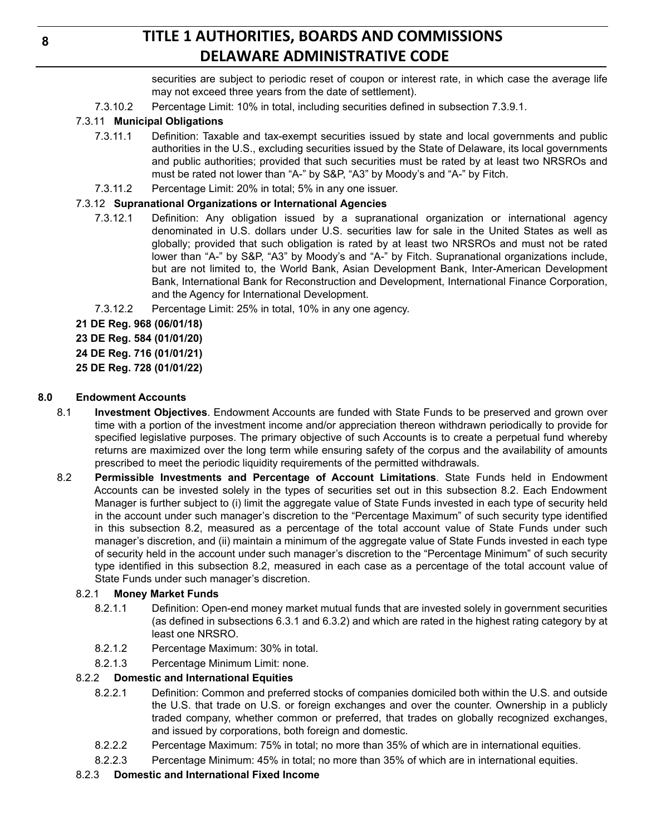securities are subject to periodic reset of coupon or interest rate, in which case the average life may not exceed three years from the date of settlement).

7.3.10.2 Percentage Limit: 10% in total, including securities defined in subsection 7.3.9.1.

# 7.3.11 **Municipal Obligations**

- 7.3.11.1 Definition: Taxable and tax-exempt securities issued by state and local governments and public authorities in the U.S., excluding securities issued by the State of Delaware, its local governments and public authorities; provided that such securities must be rated by at least two NRSROs and must be rated not lower than "A-" by S&P, "A3" by Moody's and "A-" by Fitch.
- 7.3.11.2 Percentage Limit: 20% in total; 5% in any one issuer.

# 7.3.12 **Supranational Organizations or International Agencies**

- 7.3.12.1 Definition: Any obligation issued by a supranational organization or international agency denominated in U.S. dollars under U.S. securities law for sale in the United States as well as globally; provided that such obligation is rated by at least two NRSROs and must not be rated lower than "A-" by S&P, "A3" by Moody's and "A-" by Fitch. Supranational organizations include, but are not limited to, the World Bank, Asian Development Bank, Inter-American Development Bank, International Bank for Reconstruction and Development, International Finance Corporation, and the Agency for International Development.
- 7.3.12.2 Percentage Limit: 25% in total, 10% in any one agency.
- **21 DE Reg. 968 (06/01/18)**

**23 DE Reg. 584 (01/01/20)**

**24 DE Reg. 716 (01/01/21)**

**25 DE Reg. 728 (01/01/22)**

### **8.0 Endowment Accounts**

- 8.1 **Investment Objectives**. Endowment Accounts are funded with State Funds to be preserved and grown over time with a portion of the investment income and/or appreciation thereon withdrawn periodically to provide for specified legislative purposes. The primary objective of such Accounts is to create a perpetual fund whereby returns are maximized over the long term while ensuring safety of the corpus and the availability of amounts prescribed to meet the periodic liquidity requirements of the permitted withdrawals.
- 8.2 **Permissible Investments and Percentage of Account Limitations**. State Funds held in Endowment Accounts can be invested solely in the types of securities set out in this subsection 8.2. Each Endowment Manager is further subject to (i) limit the aggregate value of State Funds invested in each type of security held in the account under such manager's discretion to the "Percentage Maximum" of such security type identified in this subsection 8.2, measured as a percentage of the total account value of State Funds under such manager's discretion, and (ii) maintain a minimum of the aggregate value of State Funds invested in each type of security held in the account under such manager's discretion to the "Percentage Minimum" of such security type identified in this subsection 8.2, measured in each case as a percentage of the total account value of State Funds under such manager's discretion.

## 8.2.1 **Money Market Funds**

- 8.2.1.1 Definition: Open-end money market mutual funds that are invested solely in government securities (as defined in subsections 6.3.1 and 6.3.2) and which are rated in the highest rating category by at least one NRSRO.
- 8.2.1.2 Percentage Maximum: 30% in total.
- 8.2.1.3 Percentage Minimum Limit: none.

#### 8.2.2 **Domestic and International Equities**

- 8.2.2.1 Definition: Common and preferred stocks of companies domiciled both within the U.S. and outside the U.S. that trade on U.S. or foreign exchanges and over the counter. Ownership in a publicly traded company, whether common or preferred, that trades on globally recognized exchanges, and issued by corporations, both foreign and domestic.
- 8.2.2.2 Percentage Maximum: 75% in total; no more than 35% of which are in international equities.
- 8.2.2.3 Percentage Minimum: 45% in total; no more than 35% of which are in international equities.
- 8.2.3 **Domestic and International Fixed Income**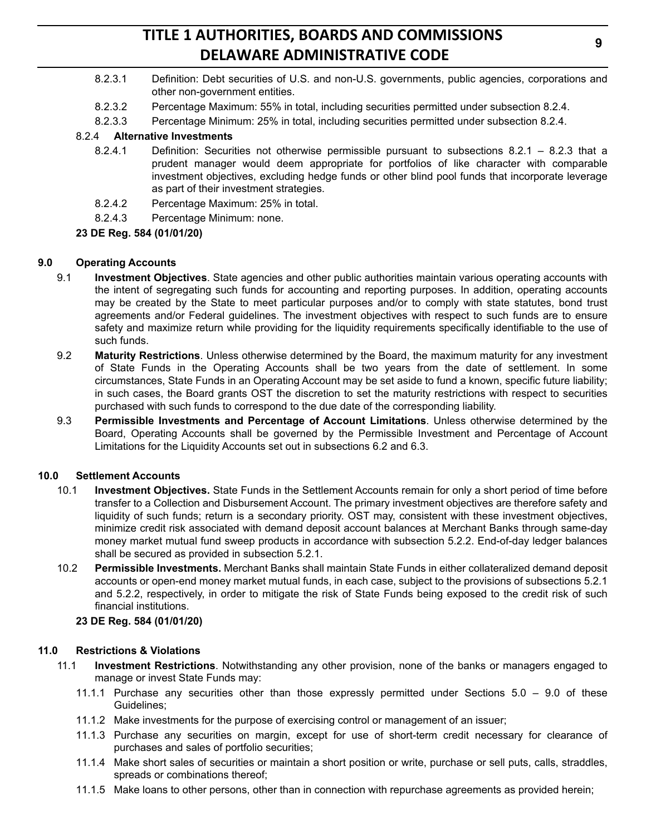- 8.2.3.1 Definition: Debt securities of U.S. and non-U.S. governments, public agencies, corporations and other non-government entities.
- 8.2.3.2 Percentage Maximum: 55% in total, including securities permitted under subsection 8.2.4.
- 8.2.3.3 Percentage Minimum: 25% in total, including securities permitted under subsection 8.2.4.

#### 8.2.4 **Alternative Investments**

- 8.2.4.1 Definition: Securities not otherwise permissible pursuant to subsections 8.2.1 8.2.3 that a prudent manager would deem appropriate for portfolios of like character with comparable investment objectives, excluding hedge funds or other blind pool funds that incorporate leverage as part of their investment strategies.
- 8.2.4.2 Percentage Maximum: 25% in total.
- 8.2.4.3 Percentage Minimum: none.

#### **23 DE Reg. 584 (01/01/20)**

#### **9.0 Operating Accounts**

- 9.1 **Investment Objectives**. State agencies and other public authorities maintain various operating accounts with the intent of segregating such funds for accounting and reporting purposes. In addition, operating accounts may be created by the State to meet particular purposes and/or to comply with state statutes, bond trust agreements and/or Federal guidelines. The investment objectives with respect to such funds are to ensure safety and maximize return while providing for the liquidity requirements specifically identifiable to the use of such funds.
- 9.2 **Maturity Restrictions**. Unless otherwise determined by the Board, the maximum maturity for any investment of State Funds in the Operating Accounts shall be two years from the date of settlement. In some circumstances, State Funds in an Operating Account may be set aside to fund a known, specific future liability; in such cases, the Board grants OST the discretion to set the maturity restrictions with respect to securities purchased with such funds to correspond to the due date of the corresponding liability.
- 9.3 **Permissible Investments and Percentage of Account Limitations**. Unless otherwise determined by the Board, Operating Accounts shall be governed by the Permissible Investment and Percentage of Account Limitations for the Liquidity Accounts set out in subsections 6.2 and 6.3.

#### **10.0 Settlement Accounts**

- 10.1 **Investment Objectives.** State Funds in the Settlement Accounts remain for only a short period of time before transfer to a Collection and Disbursement Account. The primary investment objectives are therefore safety and liquidity of such funds; return is a secondary priority. OST may, consistent with these investment objectives, minimize credit risk associated with demand deposit account balances at Merchant Banks through same-day money market mutual fund sweep products in accordance with subsection 5.2.2. End-of-day ledger balances shall be secured as provided in subsection 5.2.1.
- 10.2 **Permissible Investments.** Merchant Banks shall maintain State Funds in either collateralized demand deposit accounts or open-end money market mutual funds, in each case, subject to the provisions of subsections 5.2.1 and 5.2.2, respectively, in order to mitigate the risk of State Funds being exposed to the credit risk of such financial institutions.

#### **23 DE Reg. 584 (01/01/20)**

#### **11.0 Restrictions & Violations**

- 11.1 **Investment Restrictions**. Notwithstanding any other provision, none of the banks or managers engaged to manage or invest State Funds may:
	- 11.1.1 Purchase any securities other than those expressly permitted under Sections 5.0 9.0 of these Guidelines;
	- 11.1.2 Make investments for the purpose of exercising control or management of an issuer;
	- 11.1.3 Purchase any securities on margin, except for use of short-term credit necessary for clearance of purchases and sales of portfolio securities;
	- 11.1.4 Make short sales of securities or maintain a short position or write, purchase or sell puts, calls, straddles, spreads or combinations thereof;
	- 11.1.5 Make loans to other persons, other than in connection with repurchase agreements as provided herein;